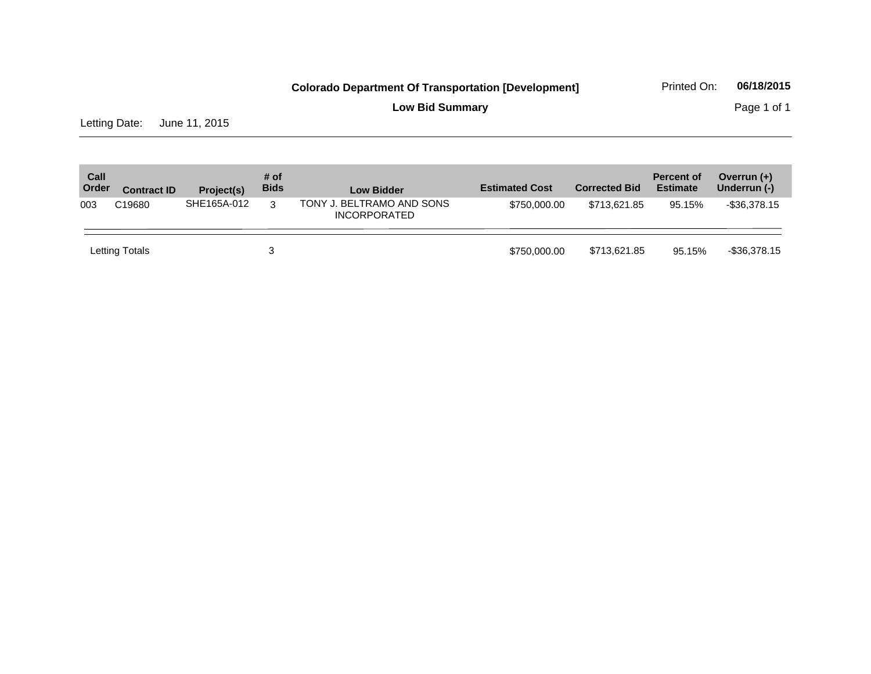**Low Bid Summary Page 1 of 1** 

Letting Date: June 11, 2015

| Call<br>Order | <b>Contract ID</b> | Project(s)  | # of<br><b>Bids</b> | <b>Low Bidder</b>                                | <b>Estimated Cost</b> | <b>Corrected Bid</b> | <b>Percent of</b><br><b>Estimate</b> | Overrun $(+)$<br>Underrun (-) |
|---------------|--------------------|-------------|---------------------|--------------------------------------------------|-----------------------|----------------------|--------------------------------------|-------------------------------|
| 003           | C <sub>19680</sub> | SHE165A-012 | 3                   | TONY J. BELTRAMO AND SONS<br><b>INCORPORATED</b> | \$750,000.00          | \$713.621.85         | 95.15%                               | $-$ \$36,378.15               |
|               | Letting Totals     |             | 3                   |                                                  | \$750,000.00          | \$713,621.85         | 95.15%                               | $-$ \$36,378.15               |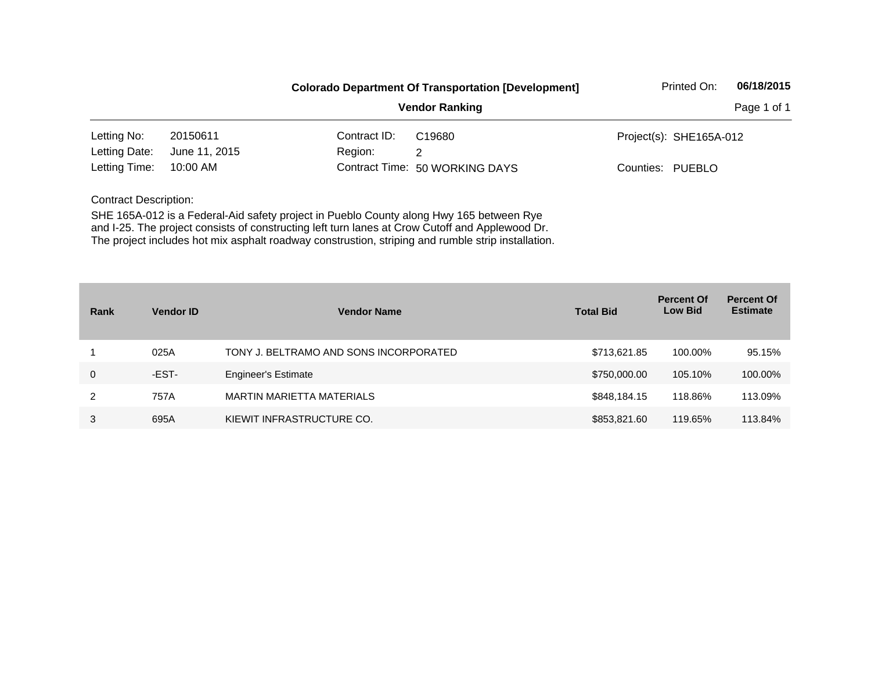|               |               |              | <b>Colorado Department Of Transportation [Development]</b> | Printed On:             | 06/18/2015  |
|---------------|---------------|--------------|------------------------------------------------------------|-------------------------|-------------|
|               |               |              | <b>Vendor Ranking</b>                                      |                         | Page 1 of 1 |
| Letting No:   | 20150611      | Contract ID: | C19680                                                     | Project(s): SHE165A-012 |             |
| Letting Date: | June 11, 2015 | Region:      | 2                                                          |                         |             |
| Letting Time: | 10:00 AM      |              | Contract Time: 50 WORKING DAYS                             | Counties: PUEBLO        |             |

| Rank | <b>Vendor ID</b> | <b>Vendor Name</b>                     | <b>Total Bid</b> | <b>Percent Of</b><br><b>Low Bid</b> | <b>Percent Of</b><br><b>Estimate</b> |
|------|------------------|----------------------------------------|------------------|-------------------------------------|--------------------------------------|
|      | 025A             | TONY J. BELTRAMO AND SONS INCORPORATED | \$713,621.85     | 100.00%                             | 95.15%                               |
| 0    | -EST-            | <b>Engineer's Estimate</b>             | \$750,000.00     | 105.10%                             | 100.00%                              |
| 2    | 757A             | <b>MARTIN MARIETTA MATERIALS</b>       | \$848,184.15     | 118.86%                             | 113.09%                              |
| 3    | 695A             | KIEWIT INFRASTRUCTURE CO.              | \$853,821.60     | 119.65%                             | 113.84%                              |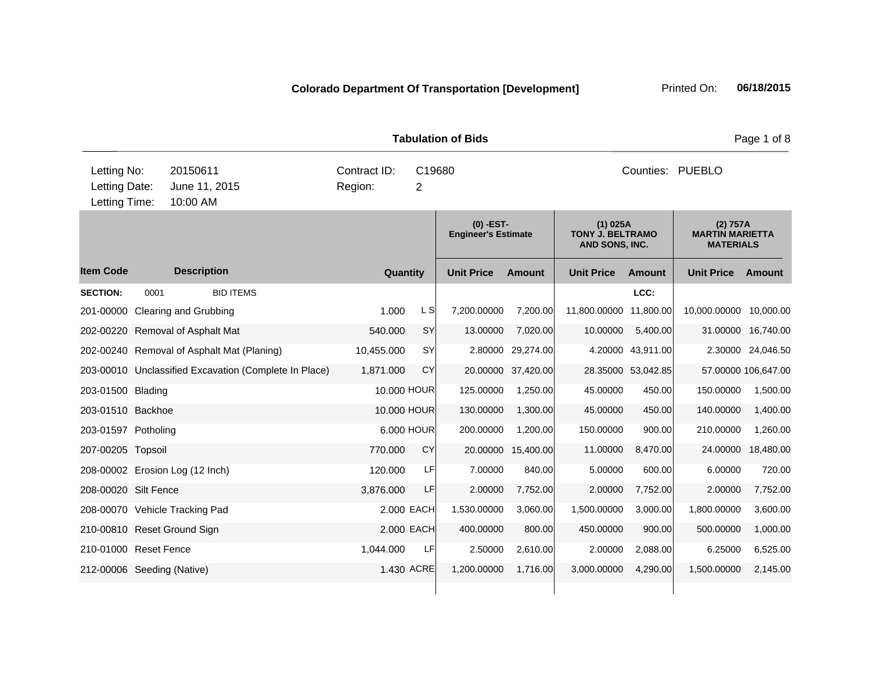| <b>Tabulation of Bids</b>                     |      |                                            |                                                       |                         |             |                                           |                  |                                                         |                    |                                                        | Page 1 of 8         |
|-----------------------------------------------|------|--------------------------------------------|-------------------------------------------------------|-------------------------|-------------|-------------------------------------------|------------------|---------------------------------------------------------|--------------------|--------------------------------------------------------|---------------------|
| Letting No:<br>Letting Date:<br>Letting Time: |      | 20150611<br>June 11, 2015<br>10:00 AM      |                                                       | Contract ID:<br>Region: | C19680<br>2 |                                           | Counties: PUEBLO |                                                         |                    |                                                        |                     |
|                                               |      |                                            |                                                       |                         |             | $(0)$ -EST-<br><b>Engineer's Estimate</b> |                  | $(1)$ 025A<br><b>TONY J. BELTRAMO</b><br>AND SONS, INC. |                    | (2) 757A<br><b>MARTIN MARIETTA</b><br><b>MATERIALS</b> |                     |
| <b>Item Code</b>                              |      | <b>Description</b>                         |                                                       | Quantity                |             | <b>Unit Price</b>                         | <b>Amount</b>    | <b>Unit Price</b>                                       | <b>Amount</b>      | <b>Unit Price</b>                                      | Amount              |
| <b>SECTION:</b>                               | 0001 | <b>BID ITEMS</b>                           |                                                       |                         |             |                                           |                  |                                                         | LCC:               |                                                        |                     |
| 201-00000                                     |      | Clearing and Grubbing                      |                                                       | 1.000                   | L SI        | 7,200.00000                               | 7.200.00         | 11,800.00000                                            | 11.800.00          | 10,000.00000                                           | 10,000.00           |
|                                               |      | 202-00220 Removal of Asphalt Mat           |                                                       | 540.000                 | <b>SY</b>   | 13.00000                                  | 7,020.00         | 10.00000                                                | 5,400.00           | 31.00000                                               | 16,740.00           |
|                                               |      | 202-00240 Removal of Asphalt Mat (Planing) |                                                       | 10,455.000              | <b>SY</b>   | 2.80000                                   | 29,274.00        |                                                         | 4.20000 43,911.00  |                                                        | 2.30000 24,046.50   |
|                                               |      |                                            | 203-00010 Unclassified Excavation (Complete In Place) | 1,871.000               | CY          | 20.00000                                  | 37,420.00        |                                                         | 28.35000 53,042.85 |                                                        | 57.00000 106,647.00 |
| 203-01500 Blading                             |      |                                            |                                                       | 10.000 HOUR             |             | 125.00000                                 | 1,250.00         | 45.00000                                                | 450.00             | 150.00000                                              | 1,500.00            |
| 203-01510 Backhoe                             |      |                                            |                                                       | 10.000 HOUR             |             | 130.00000                                 | 1,300.00         | 45.00000                                                | 450.00             | 140.00000                                              | 1,400.00            |
| 203-01597 Potholing                           |      |                                            |                                                       |                         | 6.000 HOUR  | 200.00000                                 | 1,200.00         | 150.00000                                               | 900.00             | 210.00000                                              | 1,260.00            |
| 207-00205 Topsoil                             |      |                                            |                                                       | 770.000                 | <b>CY</b>   | 20.00000                                  | 15,400.00        | 11.00000                                                | 8,470.00           | 24.00000                                               | 18,480.00           |
|                                               |      | 208-00002 Erosion Log (12 Inch)            |                                                       | 120.000                 | LF          | 7.00000                                   | 840.00           | 5.00000                                                 | 600.00             | 6.00000                                                | 720.00              |
| 208-00020 Silt Fence                          |      |                                            |                                                       | 3,876.000               | LF          | 2.00000                                   | 7,752.00         | 2.00000                                                 | 7,752.00           | 2.00000                                                | 7,752.00            |
|                                               |      | 208-00070 Vehicle Tracking Pad             |                                                       |                         | 2.000 EACH  | 1,530.00000                               | 3,060.00         | 1,500.00000                                             | 3,000.00           | 1,800.00000                                            | 3,600.00            |
|                                               |      | 210-00810 Reset Ground Sign                |                                                       |                         | 2.000 EACH  | 400.00000                                 | 800.00           | 450.00000                                               | 900.00             | 500.00000                                              | 1,000.00            |
| 210-01000 Reset Fence                         |      |                                            |                                                       | 1,044.000               | LF          | 2.50000                                   | 2,610.00         | 2.00000                                                 | 2,088.00           | 6.25000                                                | 6,525.00            |
| 212-00006 Seeding (Native)                    |      |                                            |                                                       |                         | 1.430 ACRE  | 1,200.00000                               | 1.716.00         | 3,000.00000                                             | 4,290.00           | 1,500.00000                                            | 2,145.00            |
|                                               |      |                                            |                                                       |                         |             |                                           |                  |                                                         |                    |                                                        |                     |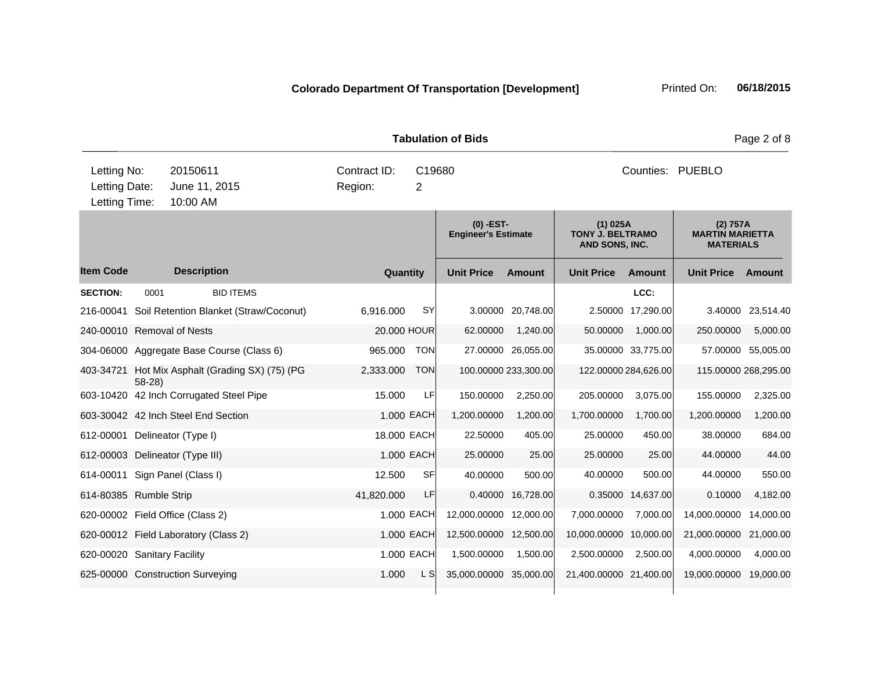|                                               |         |                                           |                         |                          | <b>Tabulation of Bids</b>                 | Page 2 of 8          |                                                         |                    |                                                        |                    |
|-----------------------------------------------|---------|-------------------------------------------|-------------------------|--------------------------|-------------------------------------------|----------------------|---------------------------------------------------------|--------------------|--------------------------------------------------------|--------------------|
| Letting No:<br>Letting Date:<br>Letting Time: |         | 20150611<br>June 11, 2015<br>10:00 AM     | Contract ID:<br>Region: | C19680<br>$\overline{2}$ |                                           |                      |                                                         | Counties: PUEBLO   |                                                        |                    |
|                                               |         |                                           |                         |                          | $(0)$ -EST-<br><b>Engineer's Estimate</b> |                      | $(1)$ 025A<br><b>TONY J. BELTRAMO</b><br>AND SONS, INC. |                    | (2) 757A<br><b>MARTIN MARIETTA</b><br><b>MATERIALS</b> |                    |
| <b>Item Code</b>                              |         | <b>Description</b>                        | Quantity                |                          | <b>Unit Price</b>                         | <b>Amount</b>        | <b>Unit Price</b>                                       | <b>Amount</b>      | <b>Unit Price</b>                                      | Amount             |
| <b>SECTION:</b>                               | 0001    | <b>BID ITEMS</b>                          |                         |                          |                                           |                      |                                                         | LCC:               |                                                        |                    |
| 216-00041                                     |         | Soil Retention Blanket (Straw/Coconut)    | 6,916.000               | <b>SY</b>                | 3.00000                                   | 20,748.00            |                                                         | 2.50000 17,290.00  | 3.40000                                                | 23,514.40          |
| 240-00010 Removal of Nests                    |         |                                           |                         | 20.000 HOUR              | 62.00000                                  | 1,240.00             | 50.00000                                                | 1,000.00           | 250.00000                                              | 5,000.00           |
|                                               |         | 304-06000 Aggregate Base Course (Class 6) | 965.000                 | <b>TON</b>               |                                           | 27.00000 26,055.00   |                                                         | 35.00000 33,775.00 |                                                        | 57.00000 55,005.00 |
| 403-34721                                     | $58-28$ | Hot Mix Asphalt (Grading SX) (75) (PG     | 2,333.000               | <b>TON</b>               |                                           | 100.00000 233,300.00 | 122.00000 284,626.00                                    |                    | 115.00000 268,295.00                                   |                    |
|                                               |         | 603-10420 42 Inch Corrugated Steel Pipe   | 15.000                  | LF                       | 150.00000                                 | 2,250.00             | 205.00000                                               | 3,075.00           | 155.00000                                              | 2,325.00           |
|                                               |         | 603-30042 42 Inch Steel End Section       |                         | 1.000 EACH               | 1,200.00000                               | 1,200.00             | 1,700.00000                                             | 1,700.00           | 1,200.00000                                            | 1,200.00           |
|                                               |         | 612-00001 Delineator (Type I)             |                         | 18.000 EACH              | 22,50000                                  | 405.00               | 25.00000                                                | 450.00             | 38.00000                                               | 684.00             |
|                                               |         | 612-00003 Delineator (Type III)           |                         | 1.000 EACH               | 25.00000                                  | 25.00                | 25.00000                                                | 25.00              | 44.00000                                               | 44.00              |
| 614-00011                                     |         | Sign Panel (Class I)                      | 12.500                  | <b>SF</b>                | 40.00000                                  | 500.00               | 40.00000                                                | 500.00             | 44.00000                                               | 550.00             |
| 614-80385 Rumble Strip                        |         |                                           | 41,820.000              | LF                       | 0.40000                                   | 16,728.00            |                                                         | 0.35000 14,637.00  | 0.10000                                                | 4,182.00           |
|                                               |         | 620-00002 Field Office (Class 2)          |                         | 1.000 EACH               | 12,000.00000 12,000.00                    |                      | 7,000.00000                                             | 7,000.00           | 14,000.00000                                           | 14,000.00          |
|                                               |         | 620-00012 Field Laboratory (Class 2)      |                         | 1.000 EACH               | 12,500.00000 12,500.00                    |                      | 10,000.00000 10,000.00                                  |                    | 21,000.00000                                           | 21,000.00          |
| 620-00020 Sanitary Facility                   |         |                                           |                         | 1.000 EACH               | 1,500.00000                               | 1,500.00             | 2,500.00000                                             | 2,500.00           | 4,000.00000                                            | 4,000.00           |
|                                               |         | 625-00000 Construction Surveying          | 1.000                   | L S                      | 35,000.00000                              | 35,000.00            | 21,400.00000 21,400.00                                  |                    | 19,000.00000                                           | 19,000.00          |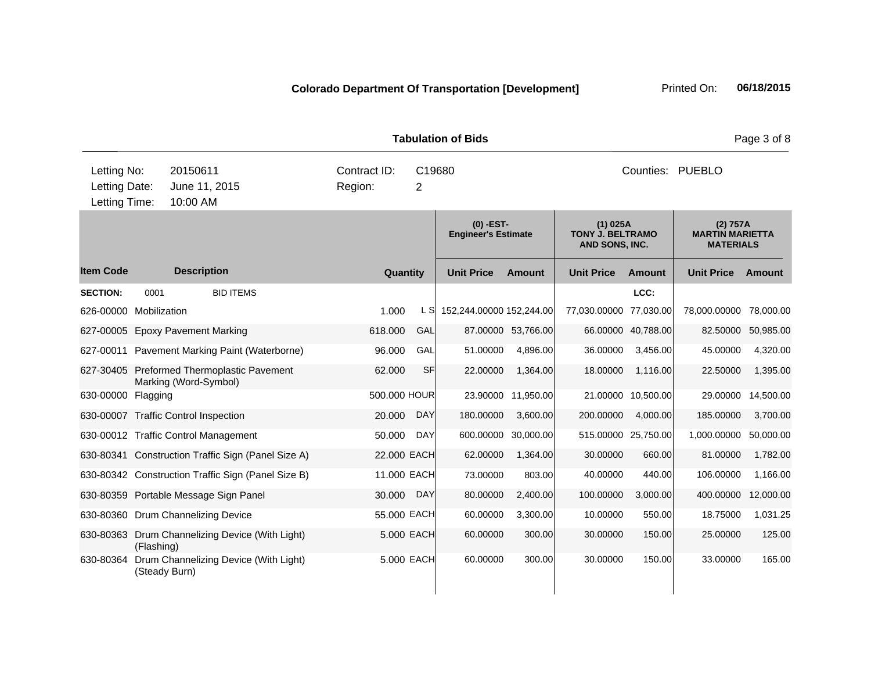|                                               |               |                                       |                                                    |                         |             |              | <b>Tabulation of Bids</b>                 |                    |                                                         |                     |                                                        | Page 3 of 8 |
|-----------------------------------------------|---------------|---------------------------------------|----------------------------------------------------|-------------------------|-------------|--------------|-------------------------------------------|--------------------|---------------------------------------------------------|---------------------|--------------------------------------------------------|-------------|
| Letting No:<br>Letting Date:<br>Letting Time: |               | 20150611<br>June 11, 2015<br>10:00 AM |                                                    | Contract ID:<br>Region: | C19680<br>2 |              | Counties: PUEBLO                          |                    |                                                         |                     |                                                        |             |
|                                               |               |                                       |                                                    |                         |             |              | $(0)$ -EST-<br><b>Engineer's Estimate</b> |                    | $(1)$ 025A<br><b>TONY J. BELTRAMO</b><br>AND SONS, INC. |                     | (2) 757A<br><b>MARTIN MARIETTA</b><br><b>MATERIALS</b> |             |
| <b>Item Code</b>                              |               | <b>Description</b>                    |                                                    |                         |             | Quantity     | <b>Unit Price</b>                         | Amount             | <b>Unit Price</b>                                       | <b>Amount</b>       | <b>Unit Price</b>                                      | Amount      |
| <b>SECTION:</b>                               | 0001          |                                       | <b>BID ITEMS</b>                                   |                         |             |              |                                           |                    |                                                         | LCC:                |                                                        |             |
| 626-00000 Mobilization                        |               |                                       |                                                    | 1.000                   |             | L S          | 152,244.00000 152,244.00                  |                    | 77,030.00000                                            | 77,030.00           | 78,000.00000                                           | 78,000.00   |
| 627-00005 Epoxy Pavement Marking              |               |                                       |                                                    | 618.000                 |             | GAL          |                                           | 87.00000 53,766.00 |                                                         | 66.00000 40,788.00  | 82.50000                                               | 50,985.00   |
|                                               |               |                                       | 627-00011 Pavement Marking Paint (Waterborne)      | 96.000                  |             | GAL          | 51.00000                                  | 4,896.00           | 36.00000                                                | 3,456.00            | 45.00000                                               | 4,320.00    |
|                                               |               | Marking (Word-Symbol)                 | 627-30405 Preformed Thermoplastic Pavement         | 62.000                  |             | <b>SF</b>    | 22.00000                                  | 1,364.00           | 18.00000                                                | 1,116.00            | 22.50000                                               | 1,395.00    |
| 630-00000                                     | Flagging      |                                       |                                                    |                         |             | 500.000 HOUR | 23.90000                                  | 11,950.00          |                                                         | 21.00000 10,500.00  | 29.00000                                               | 14,500.00   |
| 630-00007 Traffic Control Inspection          |               |                                       |                                                    | 20.000                  |             | <b>DAY</b>   | 180.00000                                 | 3,600.00           | 200.00000                                               | 4,000.00            | 185.00000                                              | 3,700.00    |
| 630-00012 Traffic Control Management          |               |                                       |                                                    | 50.000                  |             | <b>DAY</b>   | 600.00000                                 | 30,000.00          |                                                         | 515.00000 25,750.00 | 1,000.00000                                            | 50,000.00   |
|                                               |               |                                       | 630-80341 Construction Traffic Sign (Panel Size A) |                         |             | 22.000 EACH  | 62.00000                                  | 1,364.00           | 30.00000                                                | 660.00              | 81.00000                                               | 1,782.00    |
|                                               |               |                                       | 630-80342 Construction Traffic Sign (Panel Size B) |                         |             | 11.000 EACH  | 73.00000                                  | 803.00             | 40.00000                                                | 440.00              | 106.00000                                              | 1,166.00    |
|                                               |               |                                       | 630-80359 Portable Message Sign Panel              | 30.000                  |             | <b>DAY</b>   | 80.00000                                  | 2,400.00           | 100.00000                                               | 3,000.00            | 400.00000                                              | 12,000.00   |
| 630-80360 Drum Channelizing Device            |               |                                       |                                                    |                         |             | 55.000 EACH  | 60.00000                                  | 3,300.00           | 10.00000                                                | 550.00              | 18.75000                                               | 1,031.25    |
|                                               | (Flashing)    |                                       | 630-80363 Drum Channelizing Device (With Light)    |                         |             | 5,000 EACH   | 60.00000                                  | 300.00             | 30.00000                                                | 150.00              | 25.00000                                               | 125.00      |
|                                               | (Steady Burn) |                                       | 630-80364 Drum Channelizing Device (With Light)    |                         |             | 5.000 EACH   | 60.00000                                  | 300.00             | 30.00000                                                | 150.00              | 33.00000                                               | 165.00      |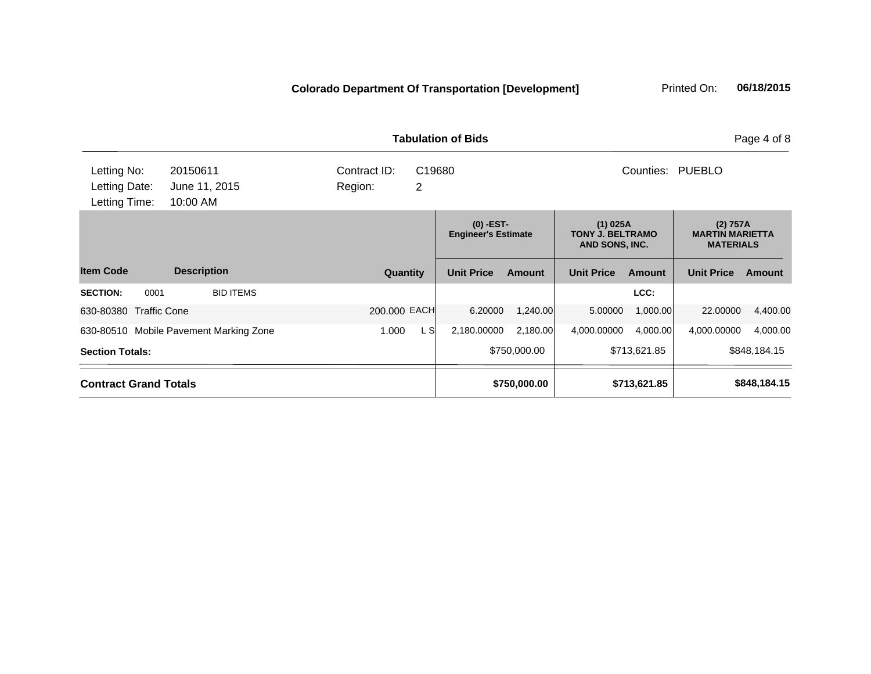|                                               |                                        |                              | <b>Tabulation of Bids</b>                 |               |                                                         | Page 4 of 8   |                                                        |               |
|-----------------------------------------------|----------------------------------------|------------------------------|-------------------------------------------|---------------|---------------------------------------------------------|---------------|--------------------------------------------------------|---------------|
| Letting No:<br>Letting Date:<br>Letting Time: | 20150611<br>June 11, 2015<br>10:00 AM  | Contract ID:<br>2<br>Region: | Counties:<br>C <sub>19680</sub>           |               |                                                         |               |                                                        |               |
|                                               |                                        |                              | $(0)$ -EST-<br><b>Engineer's Estimate</b> |               | $(1)$ 025A<br><b>TONY J. BELTRAMO</b><br>AND SONS, INC. |               | (2) 757A<br><b>MARTIN MARIETTA</b><br><b>MATERIALS</b> |               |
| <b>Item Code</b>                              | <b>Description</b>                     | Quantity                     | <b>Unit Price</b>                         | <b>Amount</b> | <b>Unit Price</b>                                       | <b>Amount</b> | <b>Unit Price</b>                                      | <b>Amount</b> |
| 0001<br><b>SECTION:</b>                       | <b>BID ITEMS</b>                       |                              |                                           |               |                                                         | LCC:          |                                                        |               |
| 630-80380 Traffic Cone                        |                                        | 200.000 EACH                 | 6.20000                                   | 1,240.00      | 5.00000                                                 | 1,000.00      | 22.00000                                               | 4,400.00      |
|                                               | 630-80510 Mobile Pavement Marking Zone | L SI<br>1.000                | 2,180.00000                               | 2,180.00      | 4,000.00000                                             | 4,000.00      | 4,000.00000                                            | 4,000.00      |
| <b>Section Totals:</b>                        |                                        |                              |                                           | \$750,000.00  |                                                         | \$713,621.85  |                                                        | \$848,184.15  |
| <b>Contract Grand Totals</b>                  |                                        |                              |                                           | \$750,000.00  |                                                         | \$713,621.85  |                                                        | \$848,184.15  |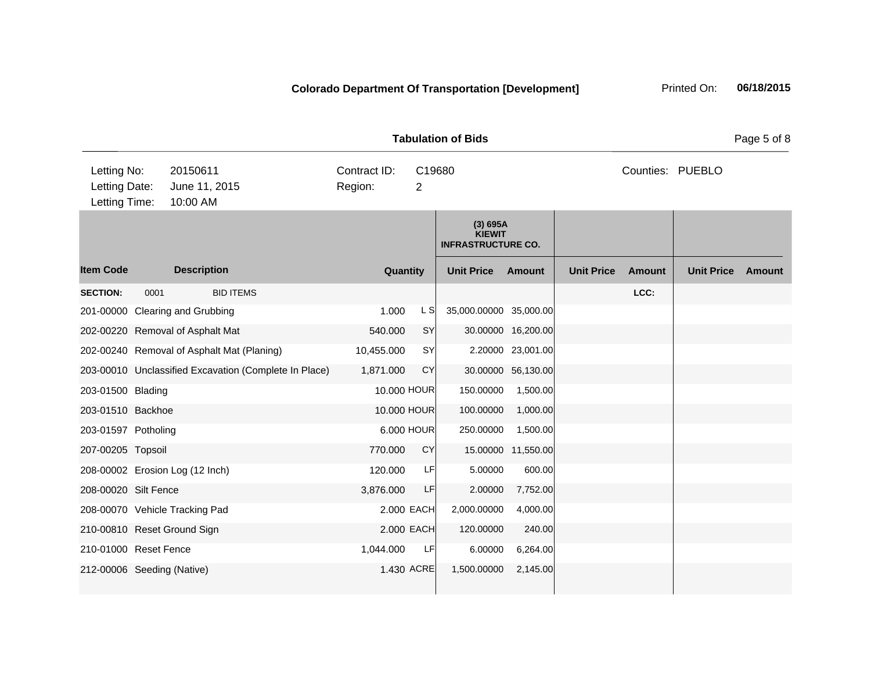|                                               |      |                                                       |  |                         |             |                                                        |                    | <b>Tabulation of Bids</b><br>Page 5 of 8 |        |                   |        |  |
|-----------------------------------------------|------|-------------------------------------------------------|--|-------------------------|-------------|--------------------------------------------------------|--------------------|------------------------------------------|--------|-------------------|--------|--|
| Letting No:<br>Letting Date:<br>Letting Time: |      | 20150611<br>June 11, 2015<br>10:00 AM                 |  | Contract ID:<br>Region: | C19680<br>2 |                                                        |                    |                                          |        | Counties: PUEBLO  |        |  |
|                                               |      |                                                       |  |                         |             | (3) 695A<br><b>KIEWIT</b><br><b>INFRASTRUCTURE CO.</b> |                    |                                          |        |                   |        |  |
| <b>Item Code</b>                              |      | <b>Description</b>                                    |  | Quantity                |             | <b>Unit Price</b>                                      | Amount             | <b>Unit Price</b>                        | Amount | <b>Unit Price</b> | Amount |  |
| <b>SECTION:</b>                               | 0001 | <b>BID ITEMS</b>                                      |  |                         |             |                                                        |                    |                                          | LCC:   |                   |        |  |
|                                               |      | 201-00000 Clearing and Grubbing                       |  | 1.000                   | L S         | 35,000.00000 35,000.00                                 |                    |                                          |        |                   |        |  |
|                                               |      | 202-00220 Removal of Asphalt Mat                      |  | 540.000                 | SY          |                                                        | 30.00000 16,200.00 |                                          |        |                   |        |  |
|                                               |      | 202-00240 Removal of Asphalt Mat (Planing)            |  | 10,455.000              | SY          |                                                        | 2.20000 23,001.00  |                                          |        |                   |        |  |
|                                               |      | 203-00010 Unclassified Excavation (Complete In Place) |  | 1,871.000               | <b>CY</b>   |                                                        | 30.00000 56,130.00 |                                          |        |                   |        |  |
| 203-01500 Blading                             |      |                                                       |  | 10.000 HOUR             |             | 150.00000                                              | 1,500.00           |                                          |        |                   |        |  |
| 203-01510 Backhoe                             |      |                                                       |  |                         | 10.000 HOUR | 100.00000                                              | 1,000.00           |                                          |        |                   |        |  |
| 203-01597 Potholing                           |      |                                                       |  |                         | 6.000 HOUR  | 250.00000                                              | 1,500.00           |                                          |        |                   |        |  |
| 207-00205 Topsoil                             |      |                                                       |  | 770.000                 | CY          |                                                        | 15.00000 11,550.00 |                                          |        |                   |        |  |
|                                               |      | 208-00002 Erosion Log (12 Inch)                       |  | 120.000                 | LF          | 5.00000                                                | 600.00             |                                          |        |                   |        |  |
| 208-00020 Silt Fence                          |      |                                                       |  | 3,876.000               | LF          | 2.00000                                                | 7,752.00           |                                          |        |                   |        |  |
|                                               |      | 208-00070 Vehicle Tracking Pad                        |  |                         | 2.000 EACH  | 2,000.00000                                            | 4,000.00           |                                          |        |                   |        |  |
|                                               |      | 210-00810 Reset Ground Sign                           |  |                         | 2.000 EACH  | 120.00000                                              | 240.00             |                                          |        |                   |        |  |
| 210-01000 Reset Fence                         |      |                                                       |  | 1,044.000               | LF          | 6.00000                                                | 6,264.00           |                                          |        |                   |        |  |
| 212-00006 Seeding (Native)                    |      |                                                       |  |                         | 1.430 ACRE  | 1,500.00000                                            | 2,145.00           |                                          |        |                   |        |  |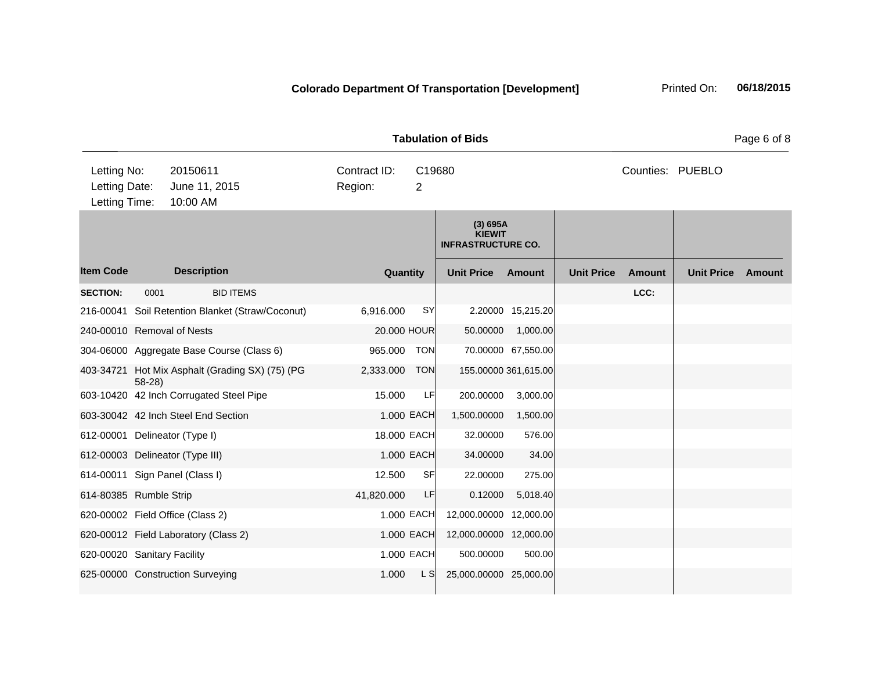| <b>Tabulation of Bids</b>                     |         |                                                  |                         |                |                                                        |                      |                   |                  |                   | Page 6 of 8   |
|-----------------------------------------------|---------|--------------------------------------------------|-------------------------|----------------|--------------------------------------------------------|----------------------|-------------------|------------------|-------------------|---------------|
| Letting No:<br>Letting Date:<br>Letting Time: |         | 20150611<br>June 11, 2015<br>10:00 AM            | Contract ID:<br>Region: | $\overline{2}$ | C19680                                                 |                      |                   | Counties: PUEBLO |                   |               |
|                                               |         |                                                  |                         |                | (3) 695A<br><b>KIEWIT</b><br><b>INFRASTRUCTURE CO.</b> |                      |                   |                  |                   |               |
| <b>Item Code</b>                              |         | <b>Description</b>                               |                         | Quantity       | <b>Unit Price</b>                                      | <b>Amount</b>        | <b>Unit Price</b> | <b>Amount</b>    | <b>Unit Price</b> | <b>Amount</b> |
| <b>SECTION:</b>                               | 0001    | <b>BID ITEMS</b>                                 |                         |                |                                                        |                      |                   | LCC:             |                   |               |
|                                               |         | 216-00041 Soil Retention Blanket (Straw/Coconut) | 6,916.000               | <b>SY</b>      |                                                        | 2.20000 15,215.20    |                   |                  |                   |               |
| 240-00010 Removal of Nests                    |         |                                                  |                         | 20.000 HOUR    | 50.00000                                               | 1,000.00             |                   |                  |                   |               |
|                                               |         | 304-06000 Aggregate Base Course (Class 6)        | 965.000                 | <b>TON</b>     |                                                        | 70.00000 67,550.00   |                   |                  |                   |               |
|                                               | $58-28$ | 403-34721 Hot Mix Asphalt (Grading SX) (75) (PG  | 2,333.000               | <b>TON</b>     |                                                        | 155.00000 361,615.00 |                   |                  |                   |               |
|                                               |         | 603-10420 42 Inch Corrugated Steel Pipe          | 15.000                  | LF             | 200.00000                                              | 3,000.00             |                   |                  |                   |               |
|                                               |         | 603-30042 42 Inch Steel End Section              |                         | 1.000 EACH     | 1,500.00000                                            | 1,500.00             |                   |                  |                   |               |
|                                               |         | 612-00001 Delineator (Type I)                    |                         | 18.000 EACH    | 32.00000                                               | 576.00               |                   |                  |                   |               |
|                                               |         | 612-00003 Delineator (Type III)                  |                         | 1.000 EACH     | 34.00000                                               | 34.00                |                   |                  |                   |               |
|                                               |         | 614-00011 Sign Panel (Class I)                   | 12.500                  | <b>SF</b>      | 22.00000                                               | 275.00               |                   |                  |                   |               |
| 614-80385 Rumble Strip                        |         |                                                  | 41,820.000              | LF             | 0.12000                                                | 5,018.40             |                   |                  |                   |               |
|                                               |         | 620-00002 Field Office (Class 2)                 |                         | 1.000 EACH     | 12,000.00000 12,000.00                                 |                      |                   |                  |                   |               |
|                                               |         | 620-00012 Field Laboratory (Class 2)             |                         | 1.000 EACH     | 12,000.00000 12,000.00                                 |                      |                   |                  |                   |               |
| 620-00020 Sanitary Facility                   |         |                                                  |                         | 1.000 EACH     | 500.00000                                              | 500.00               |                   |                  |                   |               |
|                                               |         | 625-00000 Construction Surveying                 | 1.000                   | L S            | 25,000.00000 25,000.00                                 |                      |                   |                  |                   |               |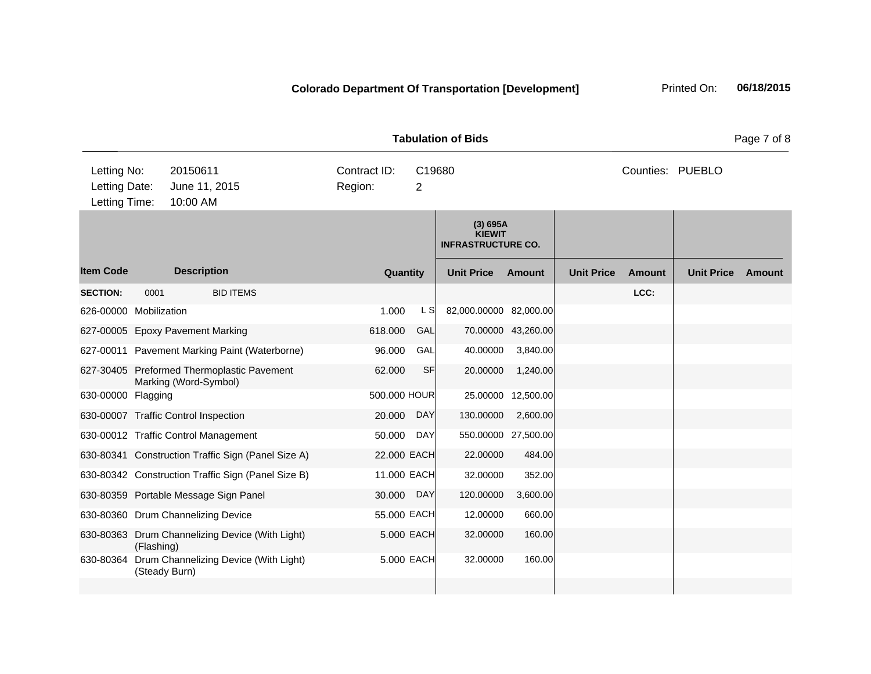| <b>Tabulation of Bids</b>                     |               |                                                                     |                                                    |                         |                          |                                                        |                     |                   |        |                   | Page 7 of 8   |
|-----------------------------------------------|---------------|---------------------------------------------------------------------|----------------------------------------------------|-------------------------|--------------------------|--------------------------------------------------------|---------------------|-------------------|--------|-------------------|---------------|
| Letting No:<br>Letting Date:<br>Letting Time: |               | 20150611<br>June 11, 2015<br>10:00 AM                               |                                                    | Contract ID:<br>Region: | C19680<br>$\overline{2}$ |                                                        |                     |                   |        | Counties: PUEBLO  |               |
|                                               |               |                                                                     |                                                    |                         |                          | (3) 695A<br><b>KIEWIT</b><br><b>INFRASTRUCTURE CO.</b> |                     |                   |        |                   |               |
| <b>Item Code</b>                              |               | <b>Description</b>                                                  |                                                    | Quantity                |                          | <b>Unit Price</b>                                      | <b>Amount</b>       | <b>Unit Price</b> | Amount | <b>Unit Price</b> | <b>Amount</b> |
| <b>SECTION:</b>                               | 0001          | <b>BID ITEMS</b>                                                    |                                                    |                         |                          |                                                        |                     |                   | LCC:   |                   |               |
| 626-00000 Mobilization                        |               |                                                                     |                                                    | 1.000                   | L S                      | 82,000.00000 82,000.00                                 |                     |                   |        |                   |               |
|                                               |               | 627-00005 Epoxy Pavement Marking                                    |                                                    | 618.000                 | GAL                      |                                                        | 70.00000 43,260.00  |                   |        |                   |               |
|                                               |               | 627-00011 Pavement Marking Paint (Waterborne)                       |                                                    | 96.000                  | GAL                      | 40.00000                                               | 3,840.00            |                   |        |                   |               |
|                                               |               | 627-30405 Preformed Thermoplastic Pavement<br>Marking (Word-Symbol) |                                                    | 62.000                  | <b>SF</b>                | 20.00000                                               | 1,240.00            |                   |        |                   |               |
| 630-00000 Flagging                            |               |                                                                     |                                                    | 500.000 HOUR            |                          |                                                        | 25.00000 12,500.00  |                   |        |                   |               |
|                                               |               | 630-00007 Traffic Control Inspection                                |                                                    | 20.000                  | DAY                      | 130.00000                                              | 2,600.00            |                   |        |                   |               |
|                                               |               | 630-00012 Traffic Control Management                                |                                                    | 50.000                  | <b>DAY</b>               |                                                        | 550.00000 27,500.00 |                   |        |                   |               |
|                                               |               |                                                                     | 630-80341 Construction Traffic Sign (Panel Size A) | 22.000 EACH             |                          | 22.00000                                               | 484.00              |                   |        |                   |               |
|                                               |               |                                                                     | 630-80342 Construction Traffic Sign (Panel Size B) | 11.000 EACH             |                          | 32.00000                                               | 352.00              |                   |        |                   |               |
|                                               |               | 630-80359 Portable Message Sign Panel                               |                                                    | 30.000                  | DAY                      | 120.00000                                              | 3,600.00            |                   |        |                   |               |
|                                               |               | 630-80360 Drum Channelizing Device                                  |                                                    | 55.000 EACH             |                          | 12.00000                                               | 660.00              |                   |        |                   |               |
|                                               | (Flashing)    | 630-80363 Drum Channelizing Device (With Light)                     |                                                    |                         | 5.000 EACH               | 32.00000                                               | 160.00              |                   |        |                   |               |
| 630-80364                                     | (Steady Burn) | Drum Channelizing Device (With Light)                               |                                                    |                         | 5.000 EACH               | 32.00000                                               | 160.00              |                   |        |                   |               |
|                                               |               |                                                                     |                                                    |                         |                          |                                                        |                     |                   |        |                   |               |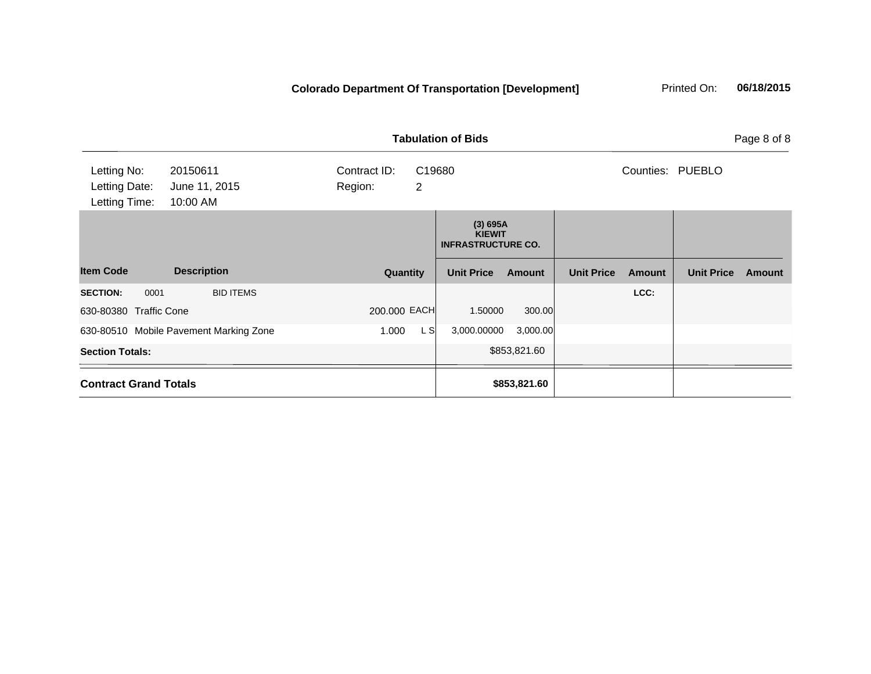|                                               |                                        |                         | <b>Tabulation of Bids</b> |                                                        |               |                   |               |                   |        |
|-----------------------------------------------|----------------------------------------|-------------------------|---------------------------|--------------------------------------------------------|---------------|-------------------|---------------|-------------------|--------|
| Letting No:<br>Letting Date:<br>Letting Time: | 20150611<br>June 11, 2015<br>10:00 AM  | Contract ID:<br>Region: | C19680<br>$\overline{2}$  |                                                        |               |                   |               | Counties: PUEBLO  |        |
|                                               |                                        |                         |                           | (3) 695A<br><b>KIEWIT</b><br><b>INFRASTRUCTURE CO.</b> |               |                   |               |                   |        |
| <b>Item Code</b>                              | <b>Description</b>                     | Quantity                |                           | <b>Unit Price</b>                                      | <b>Amount</b> | <b>Unit Price</b> | <b>Amount</b> | <b>Unit Price</b> | Amount |
| <b>SECTION:</b><br>0001                       | <b>BID ITEMS</b>                       |                         |                           |                                                        |               |                   | LCC:          |                   |        |
| 630-80380 Traffic Cone                        |                                        | 200.000 EACH            |                           | 1.50000                                                | 300.00        |                   |               |                   |        |
|                                               | 630-80510 Mobile Pavement Marking Zone | 1.000                   | L SI                      | 3,000.00000                                            | 3,000.00      |                   |               |                   |        |
| <b>Section Totals:</b>                        |                                        |                         |                           |                                                        | \$853,821.60  |                   |               |                   |        |
| <b>Contract Grand Totals</b>                  |                                        |                         |                           |                                                        | \$853,821.60  |                   |               |                   |        |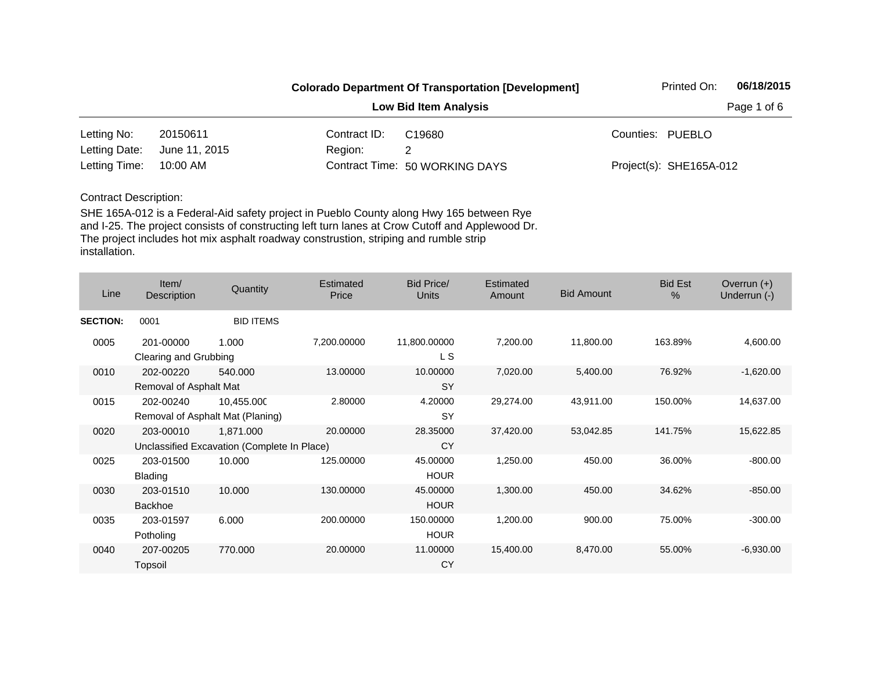|                        |               |              | <b>Colorado Department Of Transportation [Development]</b> | Printed On:             | 06/18/2015  |
|------------------------|---------------|--------------|------------------------------------------------------------|-------------------------|-------------|
|                        |               |              | <b>Low Bid Item Analysis</b>                               |                         | Page 1 of 6 |
| Letting No:            | 20150611      | Contract ID: | C19680                                                     | Counties: PUEBLO        |             |
| Letting Date:          | June 11, 2015 | Region:      |                                                            |                         |             |
| Letting Time: 10:00 AM |               |              | Contract Time: 50 WORKING DAYS                             | Project(s): SHE165A-012 |             |

| Line            | Item/<br>Description                | Quantity                                                 | Estimated<br>Price | <b>Bid Price/</b><br><b>Units</b> | Estimated<br>Amount | <b>Bid Amount</b> | <b>Bid Est</b><br>% | Overrun $(+)$<br>Underrun (-) |
|-----------------|-------------------------------------|----------------------------------------------------------|--------------------|-----------------------------------|---------------------|-------------------|---------------------|-------------------------------|
| <b>SECTION:</b> | 0001                                | <b>BID ITEMS</b>                                         |                    |                                   |                     |                   |                     |                               |
| 0005            | 201-00000<br>Clearing and Grubbing  | 1.000                                                    | 7,200.00000        | 11,800.00000<br>L S               | 7,200.00            | 11,800.00         | 163.89%             | 4,600.00                      |
| 0010            | 202-00220<br>Removal of Asphalt Mat | 540.000                                                  | 13.00000           | 10.00000<br><b>SY</b>             | 7,020.00            | 5,400.00          | 76.92%              | $-1,620.00$                   |
| 0015            | 202-00240                           | 10,455.000<br>Removal of Asphalt Mat (Planing)           | 2.80000            | 4.20000<br><b>SY</b>              | 29,274.00           | 43,911.00         | 150.00%             | 14,637.00                     |
| 0020            | 203-00010                           | 1,871.000<br>Unclassified Excavation (Complete In Place) | 20.00000           | 28.35000<br>CY                    | 37,420.00           | 53,042.85         | 141.75%             | 15,622.85                     |
| 0025            | 203-01500<br><b>Blading</b>         | 10.000                                                   | 125.00000          | 45.00000<br><b>HOUR</b>           | 1,250.00            | 450.00            | 36.00%              | $-800.00$                     |
| 0030            | 203-01510<br><b>Backhoe</b>         | 10.000                                                   | 130.00000          | 45.00000<br><b>HOUR</b>           | 1,300.00            | 450.00            | 34.62%              | $-850.00$                     |
| 0035            | 203-01597<br>Potholing              | 6.000                                                    | 200.00000          | 150.00000<br><b>HOUR</b>          | 1,200.00            | 900.00            | 75.00%              | $-300.00$                     |
| 0040            | 207-00205<br>Topsoil                | 770.000                                                  | 20.00000           | 11.00000<br>CY                    | 15,400.00           | 8,470.00          | 55.00%              | $-6,930.00$                   |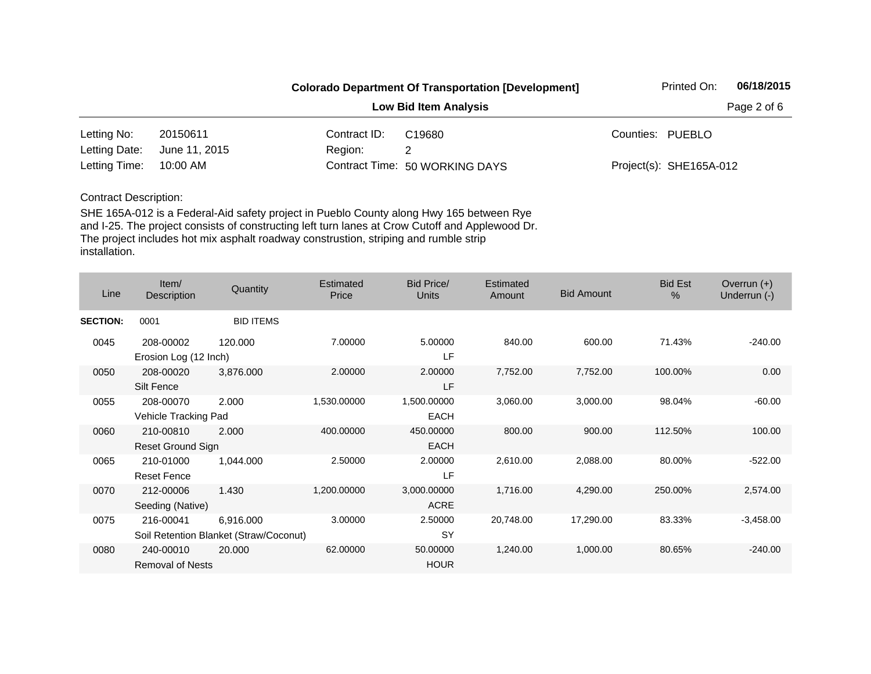|                        |               |              | <b>Colorado Department Of Transportation [Development]</b> | Printed On:             | 06/18/2015 |
|------------------------|---------------|--------------|------------------------------------------------------------|-------------------------|------------|
|                        |               |              | Page 2 of 6                                                |                         |            |
| Letting No:            | 20150611      | Contract ID: | C <sub>19680</sub>                                         | Counties: PUEBLO        |            |
| Letting Date:          | June 11, 2015 | Region:      |                                                            |                         |            |
| Letting Time: 10:00 AM |               |              | Contract Time: 50 WORKING DAYS                             | Project(s): SHE165A-012 |            |

| Line            | Item/<br>Description                                | Quantity         | Estimated<br>Price | <b>Bid Price/</b><br><b>Units</b> | Estimated<br>Amount | <b>Bid Amount</b> | <b>Bid Est</b><br>% | Overrun $(+)$<br>Underrun (-) |
|-----------------|-----------------------------------------------------|------------------|--------------------|-----------------------------------|---------------------|-------------------|---------------------|-------------------------------|
| <b>SECTION:</b> | 0001                                                | <b>BID ITEMS</b> |                    |                                   |                     |                   |                     |                               |
| 0045            | 208-00002<br>Erosion Log (12 Inch)                  | 120.000          | 7.00000            | 5.00000<br>LF                     | 840.00              | 600.00            | 71.43%              | $-240.00$                     |
| 0050            | 208-00020<br>Silt Fence                             | 3,876.000        | 2.00000            | 2.00000<br>LF                     | 7,752.00            | 7,752.00          | 100.00%             | 0.00                          |
| 0055            | 208-00070<br>Vehicle Tracking Pad                   | 2.000            | 1,530.00000        | 1,500.00000<br><b>EACH</b>        | 3,060.00            | 3,000.00          | 98.04%              | $-60.00$                      |
| 0060            | 210-00810<br>Reset Ground Sign                      | 2.000            | 400.00000          | 450.00000<br><b>EACH</b>          | 800.00              | 900.00            | 112.50%             | 100.00                        |
| 0065            | 210-01000<br><b>Reset Fence</b>                     | 1,044.000        | 2.50000            | 2.00000<br>LF                     | 2,610.00            | 2,088.00          | 80.00%              | $-522.00$                     |
| 0070            | 212-00006<br>Seeding (Native)                       | 1.430            | 1,200.00000        | 3,000.00000<br>ACRE               | 1,716.00            | 4,290.00          | 250.00%             | 2,574.00                      |
| 0075            | 216-00041<br>Soil Retention Blanket (Straw/Coconut) | 6,916.000        | 3.00000            | 2.50000<br><b>SY</b>              | 20,748.00           | 17,290.00         | 83.33%              | $-3,458.00$                   |
| 0080            | 240-00010<br><b>Removal of Nests</b>                | 20.000           | 62.00000           | 50.00000<br><b>HOUR</b>           | 1,240.00            | 1,000.00          | 80.65%              | $-240.00$                     |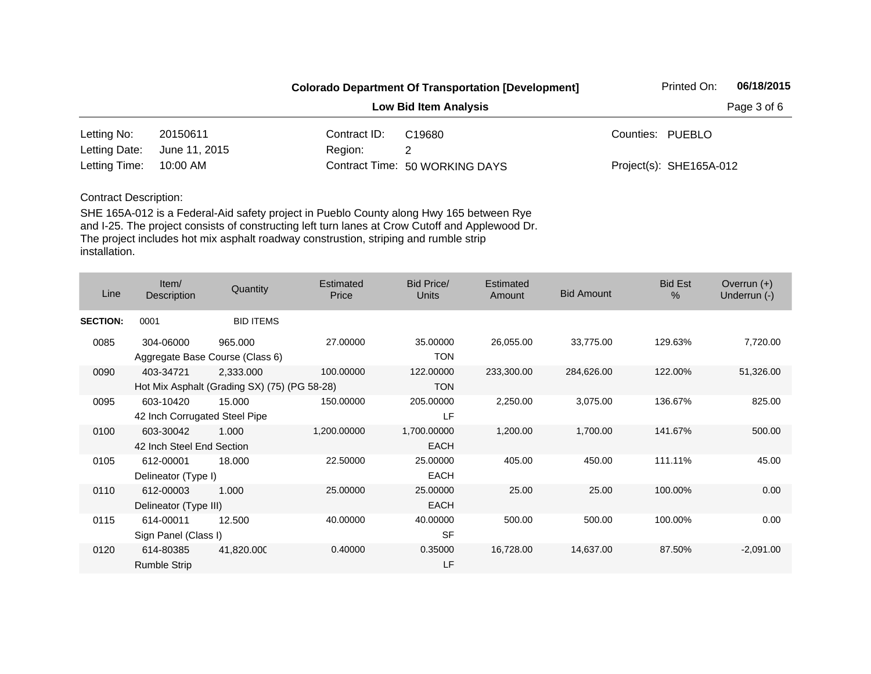|                        |               |                              | <b>Colorado Department Of Transportation [Development]</b> |  |                         | 06/18/2015 |
|------------------------|---------------|------------------------------|------------------------------------------------------------|--|-------------------------|------------|
|                        |               | <b>Low Bid Item Analysis</b> |                                                            |  |                         |            |
| Letting No:            | 20150611      | Contract ID:                 | C19680                                                     |  | Counties: PUEBLO        |            |
| Letting Date:          | June 11, 2015 | Region:                      |                                                            |  |                         |            |
| Letting Time: 10:00 AM |               |                              | Contract Time: 50 WORKING DAYS                             |  | Project(s): SHE165A-012 |            |

| Line            | Item/<br>Description                       | Quantity                                                  | Estimated<br>Price | <b>Bid Price/</b><br><b>Units</b> | Estimated<br>Amount | <b>Bid Amount</b> | <b>Bid Est</b><br>% | Overrun $(+)$<br>Underrun (-) |
|-----------------|--------------------------------------------|-----------------------------------------------------------|--------------------|-----------------------------------|---------------------|-------------------|---------------------|-------------------------------|
| <b>SECTION:</b> | 0001                                       | <b>BID ITEMS</b>                                          |                    |                                   |                     |                   |                     |                               |
| 0085            | 304-06000                                  | 965.000<br>Aggregate Base Course (Class 6)                | 27.00000           | 35.00000<br><b>TON</b>            | 26,055.00           | 33,775.00         | 129.63%             | 7,720.00                      |
| 0090            | 403-34721                                  | 2,333.000<br>Hot Mix Asphalt (Grading SX) (75) (PG 58-28) | 100.00000          | 122.00000<br><b>TON</b>           | 233,300.00          | 284,626.00        | 122.00%             | 51,326.00                     |
| 0095            | 603-10420<br>42 Inch Corrugated Steel Pipe | 15.000                                                    | 150.00000          | 205.00000<br>LF                   | 2,250.00            | 3,075.00          | 136.67%             | 825.00                        |
| 0100            | 603-30042<br>42 Inch Steel End Section     | 1.000                                                     | 1,200.00000        | 1,700.00000<br>EACH               | 1,200.00            | 1,700.00          | 141.67%             | 500.00                        |
| 0105            | 612-00001<br>Delineator (Type I)           | 18.000                                                    | 22.50000           | 25.00000<br><b>EACH</b>           | 405.00              | 450.00            | 111.11%             | 45.00                         |
| 0110            | 612-00003<br>Delineator (Type III)         | 1.000                                                     | 25.00000           | 25.00000<br><b>EACH</b>           | 25.00               | 25.00             | 100.00%             | 0.00                          |
| 0115            | 614-00011<br>Sign Panel (Class I)          | 12.500                                                    | 40.00000           | 40.00000<br><b>SF</b>             | 500.00              | 500.00            | 100.00%             | 0.00                          |
| 0120            | 614-80385<br><b>Rumble Strip</b>           | 41,820.000                                                | 0.40000            | 0.35000<br>LF                     | 16,728.00           | 14,637.00         | 87.50%              | $-2,091.00$                   |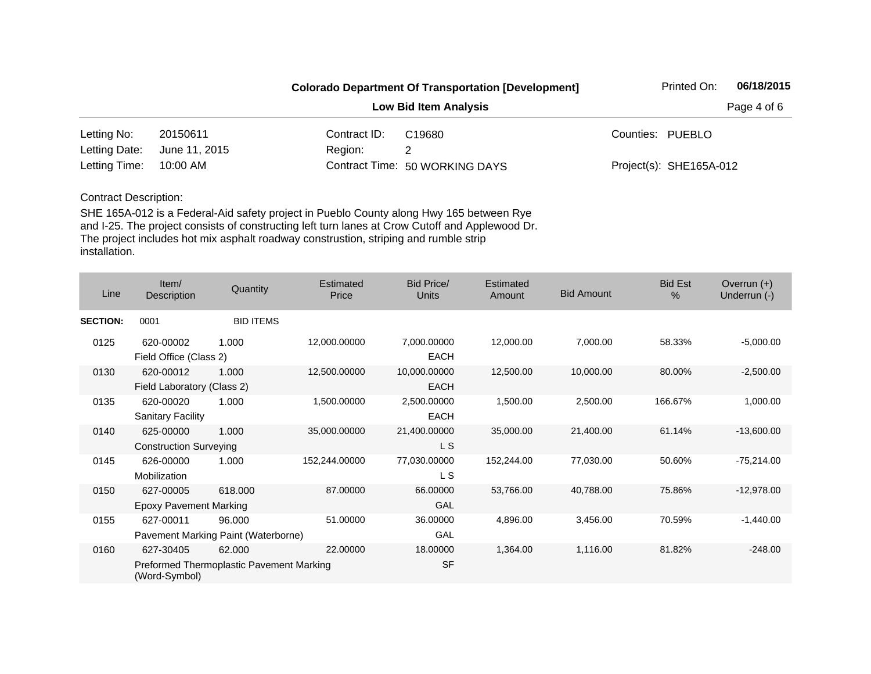|               |               |              | <b>Colorado Department Of Transportation [Development]</b> | Printed On:             | 06/18/2015 |
|---------------|---------------|--------------|------------------------------------------------------------|-------------------------|------------|
|               |               |              | Page 4 of 6                                                |                         |            |
| Letting No:   | 20150611      | Contract ID: | C <sub>19680</sub>                                         | Counties: PUEBLO        |            |
| Letting Date: | June 11, 2015 | Region:      |                                                            |                         |            |
| Letting Time: | 10:00 AM      |              | Contract Time: 50 WORKING DAYS                             | Project(s): SHE165A-012 |            |

| Line            | Item/<br>Description                       | Quantity                                           | Estimated<br>Price | Bid Price/<br>Units         | Estimated<br><b>Amount</b> | <b>Bid Amount</b> | <b>Bid Est</b><br>$\%$ | Overrun $(+)$<br>Underrun (-) |
|-----------------|--------------------------------------------|----------------------------------------------------|--------------------|-----------------------------|----------------------------|-------------------|------------------------|-------------------------------|
| <b>SECTION:</b> | 0001                                       | <b>BID ITEMS</b>                                   |                    |                             |                            |                   |                        |                               |
| 0125            | 620-00002<br>Field Office (Class 2)        | 1.000                                              | 12,000.00000       | 7,000.00000<br><b>EACH</b>  | 12,000.00                  | 7,000.00          | 58.33%                 | $-5,000.00$                   |
| 0130            | 620-00012<br>Field Laboratory (Class 2)    | 1.000                                              | 12,500.00000       | 10,000.00000<br><b>EACH</b> | 12,500.00                  | 10,000.00         | 80.00%                 | $-2,500.00$                   |
| 0135            | 620-00020<br><b>Sanitary Facility</b>      | 1.000                                              | 1,500.00000        | 2,500.00000<br><b>EACH</b>  | 1,500.00                   | 2,500.00          | 166.67%                | 1,000.00                      |
| 0140            | 625-00000<br><b>Construction Surveying</b> | 1.000                                              | 35,000.00000       | 21,400.00000<br>L S         | 35,000.00                  | 21,400.00         | 61.14%                 | $-13,600.00$                  |
| 0145            | 626-00000<br>Mobilization                  | 1.000                                              | 152,244.00000      | 77,030.00000<br>L S         | 152,244.00                 | 77,030.00         | 50.60%                 | $-75,214.00$                  |
| 0150            | 627-00005<br><b>Epoxy Pavement Marking</b> | 618,000                                            | 87.00000           | 66.00000<br>GAL             | 53,766.00                  | 40,788.00         | 75.86%                 | $-12,978.00$                  |
| 0155            | 627-00011                                  | 96.000<br>Pavement Marking Paint (Waterborne)      | 51.00000           | 36.00000<br>GAL             | 4,896.00                   | 3,456.00          | 70.59%                 | $-1,440.00$                   |
| 0160            | 627-30405<br>(Word-Symbol)                 | 62.000<br>Preformed Thermoplastic Pavement Marking | 22.00000           | 18.00000<br><b>SF</b>       | 1,364.00                   | 1,116.00          | 81.82%                 | $-248.00$                     |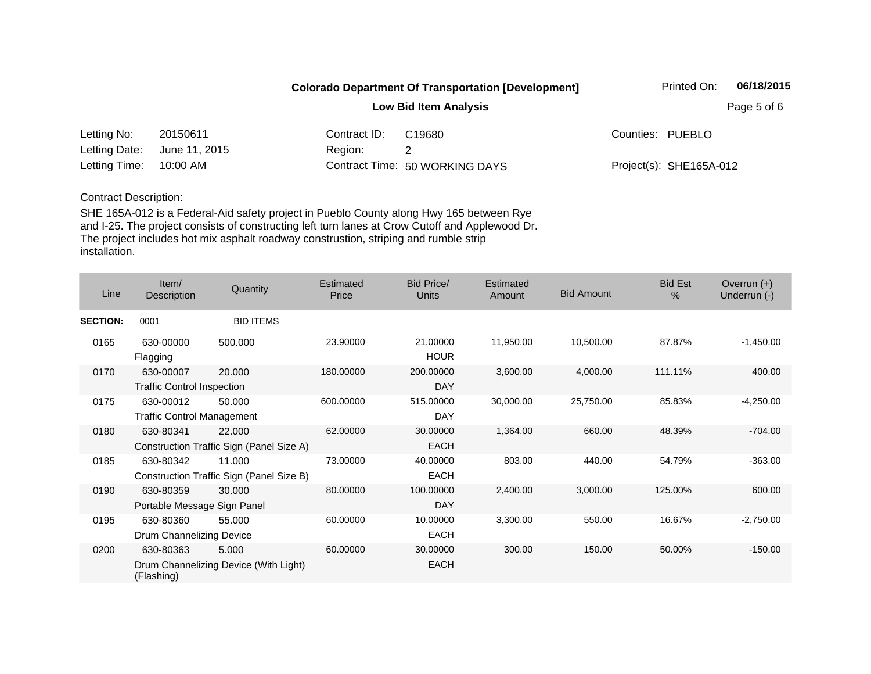|                        |               |              | <b>Colorado Department Of Transportation [Development]</b> | Printed On:             | 06/18/2015 |
|------------------------|---------------|--------------|------------------------------------------------------------|-------------------------|------------|
|                        |               |              | Page 5 of 6                                                |                         |            |
| Letting No:            | 20150611      | Contract ID: | C <sub>19680</sub>                                         | Counties: PUEBLO        |            |
| Letting Date:          | June 11, 2015 | Region:      |                                                            |                         |            |
| Letting Time: 10:00 AM |               |              | Contract Time: 50 WORKING DAYS                             | Project(s): SHE165A-012 |            |

| Line            | Item/<br>Description                           | Quantity                                           | Estimated<br>Price | <b>Bid Price/</b><br><b>Units</b> | Estimated<br>Amount | <b>Bid Amount</b> | <b>Bid Est</b><br>% | Overrun $(+)$<br>Underrun (-) |
|-----------------|------------------------------------------------|----------------------------------------------------|--------------------|-----------------------------------|---------------------|-------------------|---------------------|-------------------------------|
| <b>SECTION:</b> | 0001                                           | <b>BID ITEMS</b>                                   |                    |                                   |                     |                   |                     |                               |
| 0165            | 630-00000<br>Flagging                          | 500.000                                            | 23.90000           | 21.00000<br><b>HOUR</b>           | 11,950.00           | 10,500.00         | 87.87%              | $-1,450.00$                   |
| 0170            | 630-00007<br><b>Traffic Control Inspection</b> | 20.000                                             | 180.00000          | 200.00000<br>DAY                  | 3,600.00            | 4,000.00          | 111.11%             | 400.00                        |
| 0175            | 630-00012<br><b>Traffic Control Management</b> | 50.000                                             | 600.00000          | 515.00000<br>DAY                  | 30,000.00           | 25,750.00         | 85.83%              | $-4,250.00$                   |
| 0180            | 630-80341                                      | 22.000<br>Construction Traffic Sign (Panel Size A) | 62.00000           | 30.00000<br><b>EACH</b>           | 1,364.00            | 660.00            | 48.39%              | $-704.00$                     |
| 0185            | 630-80342                                      | 11.000<br>Construction Traffic Sign (Panel Size B) | 73.00000           | 40.00000<br><b>EACH</b>           | 803.00              | 440.00            | 54.79%              | $-363.00$                     |
| 0190            | 630-80359<br>Portable Message Sign Panel       | 30.000                                             | 80.00000           | 100.00000<br>DAY                  | 2,400.00            | 3,000.00          | 125.00%             | 600.00                        |
| 0195            | 630-80360<br>Drum Channelizing Device          | 55.000                                             | 60.00000           | 10.00000<br><b>EACH</b>           | 3,300.00            | 550.00            | 16.67%              | $-2,750.00$                   |
| 0200            | 630-80363<br>(Flashing)                        | 5.000<br>Drum Channelizing Device (With Light)     | 60.00000           | 30.00000<br><b>EACH</b>           | 300.00              | 150.00            | 50.00%              | $-150.00$                     |